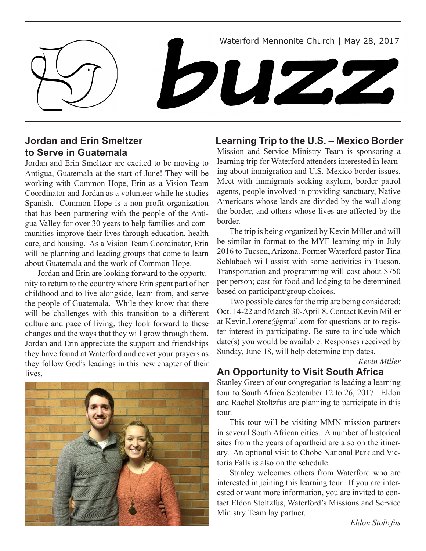Waterford Mennonite Church | May 28, 2017

buzz

### **Jordan and Erin Smeltzer to Serve in Guatemala**

Jordan and Erin Smeltzer are excited to be moving to Antigua, Guatemala at the start of June! They will be working with Common Hope, Erin as a Vision Team Coordinator and Jordan as a volunteer while he studies Spanish. Common Hope is a non-profit organization that has been partnering with the people of the Antigua Valley for over 30 years to help families and communities improve their lives through education, health care, and housing. As a Vision Team Coordinator, Erin will be planning and leading groups that come to learn about Guatemala and the work of Common Hope.

Jordan and Erin are looking forward to the opportunity to return to the country where Erin spent part of her childhood and to live alongside, learn from, and serve the people of Guatemala. While they know that there will be challenges with this transition to a different culture and pace of living, they look forward to these changes and the ways that they will grow through them. Jordan and Erin appreciate the support and friendships they have found at Waterford and covet your prayers as they follow God's leadings in this new chapter of their lives.



### **Learning Trip to the U.S. – Mexico Border**

Mission and Service Ministry Team is sponsoring a learning trip for Waterford attenders interested in learning about immigration and U.S.-Mexico border issues. Meet with immigrants seeking asylum, border patrol agents, people involved in providing sanctuary, Native Americans whose lands are divided by the wall along the border, and others whose lives are affected by the border.

The trip is being organized by Kevin Miller and will be similar in format to the MYF learning trip in July 2016 to Tucson, Arizona. Former Waterford pastor Tina Schlabach will assist with some activities in Tucson. Transportation and programming will cost about \$750 per person; cost for food and lodging to be determined based on participant/group choices.

Two possible dates for the trip are being considered: Oct. 14-22 and March 30-April 8. Contact Kevin Miller at Kevin.Lorene@gmail.com for questions or to register interest in participating. Be sure to include which date(s) you would be available. Responses received by Sunday, June 18, will help determine trip dates.

*–Kevin Miller*

#### **An Opportunity to Visit South Africa**

Stanley Green of our congregation is leading a learning tour to South Africa September 12 to 26, 2017. Eldon and Rachel Stoltzfus are planning to participate in this tour.

This tour will be visiting MMN mission partners in several South African cities. A number of historical sites from the years of apartheid are also on the itinerary. An optional visit to Chobe National Park and Victoria Falls is also on the schedule.

Stanley welcomes others from Waterford who are interested in joining this learning tour. If you are interested or want more information, you are invited to contact Eldon Stoltzfus, Waterford's Missions and Service Ministry Team lay partner.